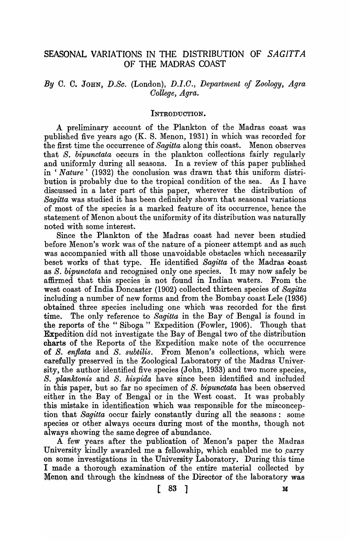### SEASONAL VARIATIONS IN THE DISTRIBUTION OF SAGITTA OF THE MADRAS COAST

### *By* C. C. JOHN, *D.Se.* (London), D.l.O., *Department of Zoology, A.gra*  College, *Agra.*

#### INTRODUCTION.

A preliminary account of the Plankton of the Madras coast was published five years ago (K. S. Menon, 1931) in which was recorded for the first time the occurrence of *Sagitta* along this coast. Menon observes that *S. bipunctata* occurs in the plankton collections fairly regularly and uniformly during all seasons. In a review of this paper published in ' *Nature'* (1932) the conclusion was drawn that this uniform distribution is probably due to the tropical condition of the sea. As I have discussed in a later part of this paper, wherever the distribution of *Sagitta* was studied it has been definitely shown that seasonal variations of most of the species is a marked feature of its occurrence, hence the statement of Menon about the uniformity of its distribution was naturally noted with some interest.

Since the Plankton of the Madras coast had never been studied before Menon's work was of the nature of a pioneer attempt and as such was accompanied with all those unavoidable obstacles which necessarily beset works of that type. He identified *Sagitta* of the Madras coast as S. *bipunctata* and recognised only one species. It may now safely be affirmed that this species is not found in Indian waters. From the west coast of India Doncaster (1902) collected thirteen species of *Sagitta*  including a number of new forms and from the Bombay coast Lele (1936) obtained three species including one which was recorded for the first time. The only reference to *Sagitta* in the Bay of Bengal is found in the reports of the "Siboga" Expedition (Fowler, 1906). Though that Expedition did not investigate the Bay of Bengal two of the distribution charts of the Reports of the Expedition make note of the occurrence of *S. enflata* and *S. subtilis.* From Menon's collections, which were carefully preserved in the Zoological Laboratory of the Madras University, the author identified five species (John, 1933) and two more species, *S. planktonis* and *S. hispida* have since been identified and included in this paper, but so far no specimen of *S. bipunetata* has been observed either in the Bay of Bengal or in the West coast. It was probably this mistake in identification which was responsible for the misconception that *Sagitta* occur fairly constantly during all the seasons: some species or other always occurs during most of the months, though not always showing the same degree of abundance.

A few years after the publication of Menon's paper the Madras University kindly awarded me a fellowship, which enabled me to carry on some investigations in the University Laboratory. During this time I made a thorough examination of the entire material collected by Menon and through the kindness of the Director of the laboratory was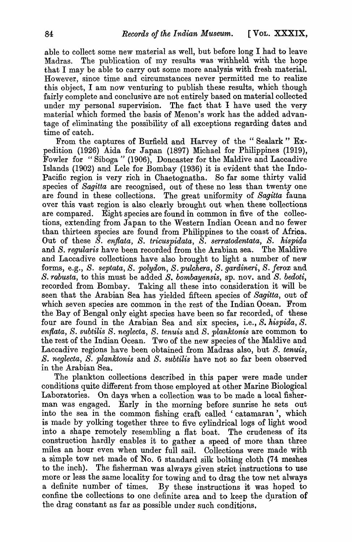able to collect some new material as well, but before long I had to leave Madras. The publication of my results was' withheld with the hope that I may be able to carry out some more analysis with fresh material. However, since time and circumstances never permitted me to realize this object, I am now venturing to publish these results, which though fairly complete and conclusive are not entirely based on material collected under my personal supervision. The fact that I have used the very material which formed the basis of Menon's work has the added advantage of eliminating the possibility of all exceptions regarding dates and time of catch.

From the captures of Burfield and Harvey of the" Sealark" Expedition (1926) Aida for Japan (1897) Michael for Philippines (1919), Fowler for "Sihoga" (1906), Doncaster for the Maldive and Laccadive Islands (1902) and Lele for Bombay (1936) it is evident that the Indo-Pacific region is very rich in Chaetognatha. So far some thirty valid species of *Sagitta* are recognised, out of these no less than twenty one are found in these collections. The great uniformity of *Sagitta* fauna over this vast region is also clearly brought out when these collections are compared. Eight species are found in common in five of the collections, extending from Japan to the Western Indian Ocean and no fewer than thirteen species are found from Philippines to the coast of Afrioa. Out of these *S. enflata, S. tricuspidata, S. serratodentata, S. hispida*  and *S. regularis* have been recorded from the Arabian sea. The Maldive and Laccadive collections have also brought to light a number of new forms, e.g., *S. septata, S. polydon, S. pulchera, S. gardineri, S. ferox* and *S. rabusta,* to this must be added *S. bombayensis,* sp. nov. and *S. bedoti,*  recorded from Bombay. Taking all these into consideration it will be seen that the Arabian Sea has yielded fifteen species of *Sagitta,* out of which seven species are common in the rest of the Indian Ocean. From the Bay of Bengal only eight species have been so far recorded, of these four are found in the Arabian Sea and six species, i.e., *S. hispida, S. enflata, S. subtilis S. neglecta, S. tenuis* and *S. planktonis* are common to the rest of the Indian Ocean. Two of the new species of the Maldive and Laccadive regions have been obtained from Madras also, but *S. tenuis, S. neglecta, S. planktonis* and *S. subtilis* have not so far been observed in the Arabian Sea.

The plankton collections described in this paper were made under conditions quite different from those employed at other Marine Biological Laboratories. On days when a collection was to be made a local fisherman was engaged. Early in the morning before sunrise he sets out into the sea in the common fishing craft called 'catamaran', which is made by yolking together three to five cylindrical logs of light wood into a shape remotely resembling a flat boat. The crudeness of its construction hardly enables it to gather a speed of more than three miles an hour even when under full sail. Collections were made with a simple tow net made of No.6 standard silk bolting cloth (74 meshes to the inch). The fisherman was always given strict instructions to use more or less the same locality for towing and to drag the tow net always a definite number of times. By these instructions it was hoped to confine the collections to one definite area and to keep the duration of the drag constant as far as possible under such conditions,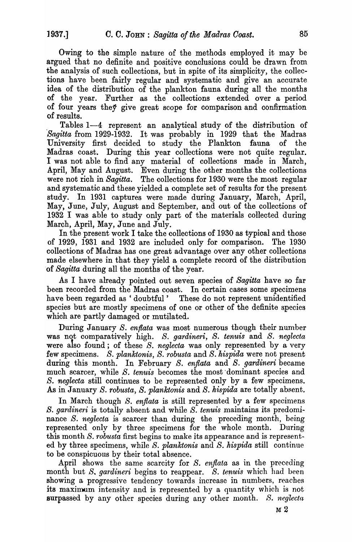Owing to the simple nature of the methods employed it may be argued that no definite and positive conclusions could be drawn from the analysis of such collections, but in spite of its simplicity, the collections have been fairly regular and systematic and give an accurate idea of the distribution of the plankton fauna during all the months of the year. Further as the collections extended over a period of four years they give great scope for comparison and confirmation of results.

Tables 1-4 represent an analytical study of the distribution of *Sagitta* from 1929-1932. It was probably in 1929 that the Madras University first decided to study the Plankton fauna of the Madras coast. During this year collections were not quite regular. I was not able to find any material of collections made in March, April, May and August. Even during the other months the collections were not rich in *Sagitta*. The collections for 1930 were the most regular and systematic and these yielded a complete set of results for the present study. In 1931 captures were made during January, March, April, May, June, July, August and September, and out of the collections of 1932 I was able to study only part of the materials collected during March, April, May, June and July.

In the present work I take the collections of 1930 as typical and those of 1929, 1931 and 1932 are included only for comparison. The 1930 collections of Madras has one great advantage over any other collections made elsewhere in that they yield a complete record of the distribution 'of *Sagitta* during all the months of the year.

As I have already pointed out seven species of *Sagitta* have so far been recorded from the Madras coast. In certain cases some specimens have been regarded as 'doubtful' These do not represent unidentified species but are mostly specimens of one or other of the definite species which are partly damaged or mutilated.

During January *S. enflata* was most numerous though their number was not comparatively high. *S. gardineri, S. tenuis* and *S. neglecta*  were also found; of these S. *neglecta* was only represented by a very few specimens. S. *planktonis,* S. *robusta* and S. *hispida* were not present during this month. In February S. *enflata* and S. *gardineri* became much scarcer, while S. *tenuis* becomes the most dominant species and *S. neglecta* still continues to be represented only by a few specimens. .AB in January S. *robusta, S. planktonis* and S. *hispida* are totally absent.

In March though S. enflata is still represented by a few specimens *S. gardineri* is totally absent and while *S. tenuis* maintains its predominance *S. neglecta* is scarcer than during the preceding month, being represented only by three specimens for the whole month. During this month S. *robusta* first begins to make its appearance and is represented by three specimens, while *S. planktonis* and *S. hispida* still continue to be conspicuous by their total absence.

April shows the same scarcity for *S. enflata* as in the preceding month but *S*, *gardineri* begins to reappear. *S. tenuis* which had been showing a progressive tendency towards increase in numbers, reaches its maximum intensity and is represented by a quantity which is not surpassed by any other species during any other month. *S. neglecta*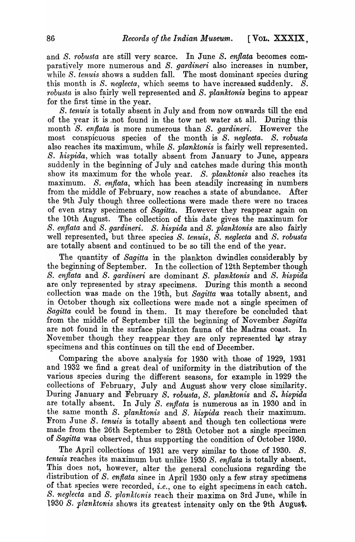and *S. robusta* are still very scarce. In June *S. enflata* becomes comparatively more numerous and S. *gardineri* also increases in number, while *S. tenuis* shows a sudden fall. The most dominant species during this month is *S. neglecta*, which seems to have increased suddenly. *S. robusta* is also fairly well represented and *S. planktonis* begins to appear for the first time in the year.

S. *tenuis* is totally absent in July and from now onwards till the end of the year it is ,not found in the tow net water at all. During this month *S. enflata* is more numerous than *S. gardineri*. However the most conspicuous species of the month is *S. neglecta. S. robusta*  also reaches its maximum, while *S. planktonis* is fairly well represented. S. *hispida,* which was totally absent from January to June, appears suddenly in the beginning of July and catches made during this month show its maximum for the whole year. S. *planktonis* also reaches its maximum. *S. enflata*, which has been steadily increasing in numbers from the middle of February, now reaches a state of abundance. After the 9th July though three collections were made there were no traces of even stray specimens of *Sagitta.* However they reappear again on the lOth August. The collection of this date gives the maximum for S. *enflata* and S. *gardineri. S. hispida* and S. *planktonis* are also fairly well represented, but three species *S. tenuis, S. neglecta* and *S. robusta*  are totally absent and continued to be so till the end of the year.

The quantity of *Sagitta* in the plankton dwindles considerably by the beginning of September. In the collection of 12th September though *S. enflata* and *S. ga1'dineri* are dominant *S. planktonis* and *S. hispida*  are only represented by stray specimens. During this month a second collection was made on the 19th, but *Sagitta* was totally absent, and in October though six collections were made not a single specimen of *Sagitta* could be found in them. It may therefore be concluded that from the middle of September till the beginning of November *Sagitta*  are not found in the surface plankton fauna of the Madras coast. In November though they reappear they are only represented hy stray specimens and this continues on till the end of December.

Comparing the above analysis for 1930 with those of 1929, 1931 and 1932 we find a great deal of uniformity in the distribution of the various species during the different seasons, for example in 1929 the co1lections of February, July and August show very close similarity. During January and February *S. robusta, S. planktonis* and *S. hispida*  are totally absent. In July S. *enflata* is numerous as in 1930 and in the same month *S. planktonis* and *S. kispida* reach their maximum. From June S. *tenuis* is totally absent and though ten collections were made from the 26th September to 28th October not a single specimen of *Sagitta* was observed, thus supporting the condition of October 1930.

The April collections of 1931 are very similar to those of 1930. *S. tenuis* reaches its maximum but unlike 1930 *S. enflata* is totally absent. This does not, however, alter the general conclusions regarding the distribution of *S. enflata* since in April 1930 only a few stray specimens of that species were recorded, *i.e.,* one to eight specimens in each catch. *S. neglecta and <i>S. planktonis* reach their maxima on 3rd June, while in 1930 S. planktonis shows its greatest intensity only on the 9th August.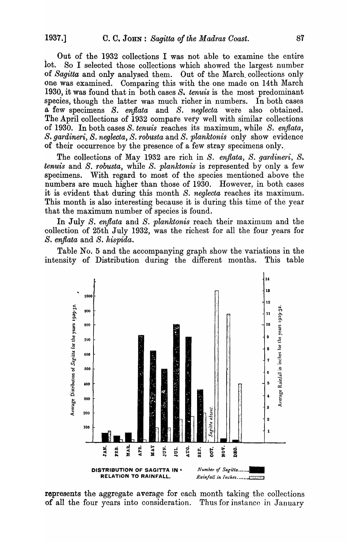Out of the 1932 collections I was not able to examine the entire lot. So I selected those collections which showed the largest number of *Sagitta* and only analysed them. Out of the March. collections only one was examined. Comparing this with the one made on 14th March 1930, it was found that in both cases *S. tenuis* is the most predominant species, though the latter was much richer in numbers. In both cases a few specimens *S. e:njlata* and *S. neglecta* were also obtained. The April collections of 1932 compare very well with similar collections of 1930. In both cases *S. tenuis* reaches its maximum, while *S. enflata, S. gardineri, S. neglecta, S. robusta and S. planktonis* only show evidence of their occurrence by the presence of a few stray specimens only.,

The collections of May 1932 are rich in *S. enflata, S. gardineri, S. tenuis* and *S. robusta,* while *S. planktonis* is represented by only a few specimens. With regard to most of the species mentioned above the numbers are much higher than those of 1930. However, in both cases it is evident that during this month *S. neglecta* reaches its maximum. This month is also interesting because it is during this time of the year that the maximum number of species is found.

In July *S. enflata* and *S. planktonis* reach their maximum and the collection of 25th July 1932, was the richest for all the four years for *S. enflata* and *S. hispida.* 

Table No. 5 and the accompanying graph show the variations in the intensity of Distribution during the different months. This table



represents the aggregate average for each month taking the collections of all the four years into consideration. Thus for instance in January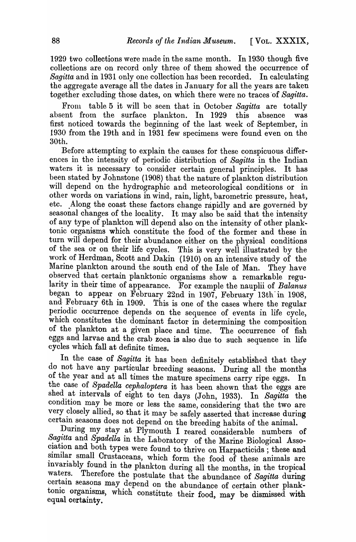1929 two collections were made in the same month. In 1930 though five collections are on record only three of them showed the occurrence of *Sagitta* and in 1931 only one collection has been recorded. In calculating the aggregate average all the dates in January for all the years are taken together excluding those dates, on which there were no traces of Sagitta.

From table 5 it will be seen that in October *Sagitta* are totally absent from the surface plankton. In 1929 this absence was first noticed towards the beginning of the last week of September, in 1930 from the 19th and in 1931 few specimens were found even on the 30th.

Before attempting to explain the causes for these conspicuous differences in the intensity of periodic distribution of *Sagitta* in the Indian waters it is necessary to consider certain general principles. It has been stated by Johnstone (1908) that the nature of plankton distribution will depend on the hydrographic and meteorological conditions or in other words on variations in wind, rain, light, barometric pressure, heat, etc. Along the coast these factors change rapidly and are governed by seasonal changes of the locality. It may also be said that the intensity of any type of plankton will depend also on the intensity of other plank .. tonic organisms which constitute the food of the former and these in turn will depend for their abundance either on the physical conditions of the sea or on their life cycles. This is very well illustrated by the work of Herdman, Scott and Dakin (1910) on an intensive study of the Marine plankton around the south end of the Isle of Man. They have observed that certain planktonic organisms show a remarkable regularity in their time of appearance. For example the nauplii of *Balanus*  began to appear on February 22nd in 1907, February 13th' in 1908, and February 6th in 1909. This is one of the cases where the regular periodic occurrence depends on the sequence of events in life cycle, which constitutes the dominant factor in determining the composition of the plankton at a given place and time. The occurrence of fish eggs and larvae and the crab zoea is also due to such sequence in life cycles which fall at definite times.

In the case of *Sagitta* it has been definitely established that they do not have any particular breeding seasons. During all the months of the year and at all times the mature specimens carry ripe eggs. In the case of *Spadella cephaloptera* it has been shown that the eggs are shed at intervals of eight to ten days (John, 1933). In Sagitta the condition may be more or less the same, considering that the two are very closely allied, so that it may be safely asserted that increase during certain seasons does not depend on the breeding habits of the animal.

During my stay at Plymouth I reared considerable numbers of Sagitta and Spadella in the Laboratory of the Marine Biological Association and both types were found to thrive on Harpacticids; these and similar small Crustaceans, which form the food of these animals are invariably found in the plankton during all the months, in the tropical waters. Therefore the postulate that the class is a following during Therefore the postulate that the abundance of *Sagitta* during certain seasons may depend on the abundance of certain other planktonic organisms, which constitute their food,  $\max$  be dismissed with equal certainty.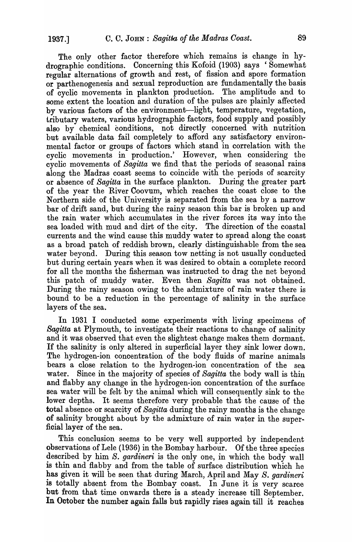The only other factor therefore which remains is change in hydrographic conditions. Concerning this Kofoid (1903) says 'Somewhat regular alternations of growth and rest, of fission and spore formation or parthenogenesis and sexual reproduction are fundamentally the basis of cyclic movements in plankton production. The amplitude and to some extent the location and duration of the pulses are plainly affected by various factors of the environment-light, temperature, vegetation, tributary waters, various hydrographic factors, food supply and possibly also by chemical conditions, not directly concerned with nutrition but available data fail completely to afford any satisfactory environmental factor or groups of factors which stand in correlation with the cyclic movements in production.' However, when considering the cyclic movements of *Sagitta* we find that the periods of seasonal rains along the Madras coast seems to coincide with the periods of scarcity or absence of *Sagitta* in the surface plankton. During the greater part of the year the River Coovum, which reaches the coast close to the Northern side of the University is separated from the sea by a narrow bar of drift sand, but during the rainy season this bar is broken up and the rain water which accumulates in the river forces its way into the sea loaded with mud and dirt of the city. The direction of the coastal currents and the wind cause this muddy water to spread along the coast as a broad patch of reddish brown, clearly distinguishable from the sea water beyond. During this season tow netting is not usually conducted but during certain years when it was desired to obtain a complete record for all the months the fisherman was instructed to drag the net beyond this patch of muddy water. Even then *Sagitta* was not obtained. During the rainy season owing to the admixture of rain water there is bound to be a reduction in the percentage of salinity in the surface layers of the sea.

In 1931 I conducted some experiments with living specimens of *Sagitta* at Plymouth, to investigate their reactions to change of salinity and it was observed that even the slightest change makes them dormant. If the salinity is only altered in superficial layer they sink lower down. The hydrogen-ion concentration of the body fluids of marine animals bears a close relation to the hydrogen-ion concentration of the water. Since in the majority of species of *Sagitta* the body wall is thin and flabby any change in the hydrogen-ion concentration of the surface sea water will be felt by the animal which will consequently sink to the lower depths. It seems therefore very probable that the cause of the total absence or scarcity of *Sagitta* during the rainy months is the change of salinity brought about by the admixture of rain water in the super-<br>ficial layer of the sea.

This conclusion seems to be very well supported by independent observations of Lele (1936) in the Bombay harbour. Of the three species described by him *S. gardineri* is the only one, in which the body wall is thin and flabby and from the table of surface distribution which he has given it will be seen that during March, April and May *S. gardineri* is totally absent from the Bombay coast. In June it is very scarce but from that time onwards there is a steady increase till September. **In** October the number again falls but rapidly rises again till it reaches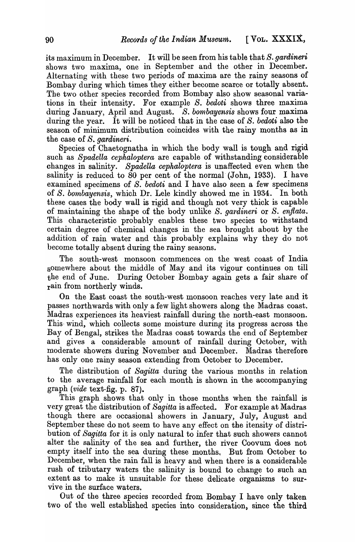its maximum in December. It will be seen from his table that *S. gatdineti*  shows two maxima, one in September and the other in December. Alternating with these two periods of maxima are the rainy seasons of Bombay during which times they either become scarce or totally absent. The two other species recorded from Bombay also show seasonal variations in their intensity. For example *S. bedoti* shows three maxima during January, April and August. *S. bombayensis* shows four maxima during the year. It will be noticed that in the case of *S. bedoti* also the season of minimum distribution coincides with the rainy months as in the case of *S. gardineri.* 

Species of Chaetognatha in which the body wall is tough and rigid such as *Spadella cephaloptera* are capable of withstanding considerable changes in salinity. *Spadella cephaloptera* is unaffected even when the salinity is reduced to 80 per cent of the normal (John, 1933). I have examined specimens of *S. bedoti* and I have also seen a few specimens of *S. bombayensis,* which Dr. Lele kindly showed me in 1934. In both these cases the body wall is rigid and though not very thick is capable of maintaining the shape of the body unlike S. gardineri or S. enflata. This characteristic probably enables these two species to withstand certain degree of chemical changes in the sea brought about by the addition of rain water and this probably explains why they do not become totally absent during the rainy seasons.

The south-west monsoon commences on the west coast of India somewhere about the middle of May and its vigour continues on till the end of June. During October Bombay again gets a fair share of rain from northerly winds.

On the East coast the south-west monsoon reaches very late and it passes northwards with only a few light showers along the Madras coast. Madras experiences its heaviest rainfall during the north-east monsoon. This wind, which collects some moisture during its progress across the Bay of Bengal, strikes the Madras coast towards the end of September and gives a considerable amount of rainfall during October, with moderate showers during November and December. Madras therefore has only one rainy season extending from October to December.

The distribution of *Sagitta* during the various months in relation to the average rainfall for each month is shown in the accompanying graph *(vide* text-fig. p. 87).

This graph shows that only in those months when the rainfall is very great the distribution of *Sagitta* is affected. For example at Madras though there are occasional showers in January, July, August and September these do not seem to have any effect on the itensity of distribution of *Sagitta* for it is only natural to infer that such showers cannot alter the salinity of the sea and further, the river Coovum does not empty itself into the sea during these months. But from October to December, when the rain fall is heavy and when there is a considerable rush of tributary waters the salinity is bound to change to such an extent as to make it unsuitable for these delicate organisms to survive in the surface waters.

Out of the three species recorded from Bombay I have only taken two of the well established species into consideration, since the third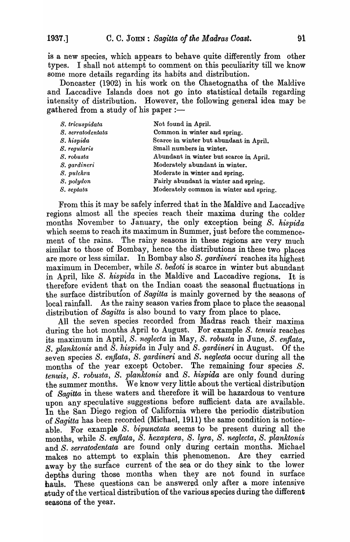is a new species, which appears to behave quite differently from other types. I shall not attempt to comment on this peculiarity till we know some more details regarding its habits and distribution.

Doncaster (1902) in his work on the Chaetognatha of the Maldive and Laccadive Islands does not go into statistical details regarding intensity of distribution. However, the following general idea may be gathered from a study of his paper :—

| S. tricuspidata   | Not found in April.                     |
|-------------------|-----------------------------------------|
| S. serratodentata | Common in winter and spring.            |
| S. hispida        | Scarce in winter but abundant in April. |
| S. regularis      | Small numbers in winter.                |
| S. robusta        | Abundant in winter but scarce in April. |
| S. gardineri      | Moderately abundant in winter.          |
| S. pulchra        | Moderate in winter and spring.          |
| S. polydon        | Fairly abundant in winter and spring.   |
| S. septata        | Moderately common in winter and spring. |

From this it may be safely inferred that in the Maldive and Laccadive regions almost all the species reach their maxima during the colder months November to January, the only exception being *S. hispida*  which seems to reach its maximum in Summer, just before the commencement of the rains. The rainy seasons in these regions are very much similar to those of Bombay, hence the distributions in these two places are more or less similar. In Bombay also S. *gardineri* reaches its highest maximum in December, while S. *bedoti* is scarce in winter but abundant in April, like *S. hispida* in the Maldive and Laccadive regions. It is therefore evident that on the Indian coast the seasonal fluctuations in the surface distribution of *Sagitta* is mainly governed by the seasons of local rainfall. As the rainy season varies from place to place the seasonal distribution of *Sagitta* is also bound to vary from place to place.

All the seven species recorded from Madras reach their maxima during the hot months April to August. For example S. *tenuis* reaches its maximum in April, S. *neglecta* in May, S. *robusta* in June, S. *enflata, S. planktonis* and *S. hispida* in July and *S. gardineri* in August. Of the seven species S. *enflata,* S. *gardineri* and *S. neglecta* occur during all the months of the year except October. The remaining four species S. *tenuis, S. robusta, S. planktonis* and *S. hispida* are only found during the summer months. We know very little about the vertical distribution *01 Sagitta* in these waters and therefore it will be hazardous to venture upon any speculative suggestions before sufficient data are available. In the San Diego region of California where the periodic distribution of *Sagitta* has been recorded (Michael, 1911) the same condition is noticeable. For example *S. bipunctata* seems to be present during all the months, while *S. enflata, S. hexaptera, S. lyra, S. neglecta, S. planktonis* and *S. serratodentata* are found only during certain months. Michael makes no attempt to explain this phenomenon. Are they carried away by the surface current of the sea or do they sink to the lower depths during those months when they are not found in surface hauls. These questions can be answered only after a more intensive study of the vertical distribution of the various species during the different seasons of the year.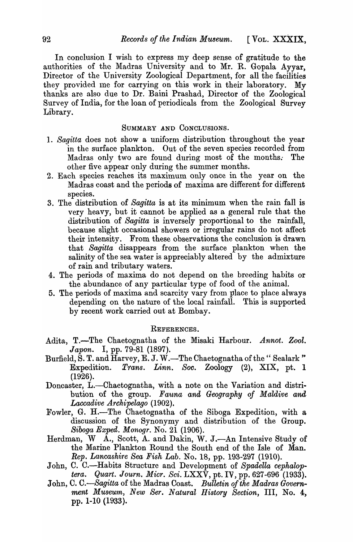In conclusion I wish to express my deep sense of gratitude to the authorities of the Madras University and to Mr. R. Gopala Ayyar, Director of the University Zoological Department, for all the facilities they provided me for carrying on this work in their laboratory. My thanks are also due to Dr. Baini Prashad, Director of the Zoological Survey of India, for the loan of periodicals from the Zoological Survey Library.

#### SUMMARY AND CONCLUSIONS.

- 1. *Sagitta* does not show a uniform distribution throughout the year in the surface plankton. Out of the seven species recorded from Madras only two are found during most of the months; The other five appear only during the summer months.
- 2. Each species reaches its maximum only once in the year on the Madras coast and the periods of maxima are different for different species.
- 3. The distribution of *Sagitta* is at its minimum when the rain fall is very heavy, but it cannot be applied as a general rule that the distribution of *Sagitta* is inversely proportional to the rainfall, because slight occasional showers or irregular rains do not affect their intensity. From these observations the conclusion is drawn that *Sagitta* disappears from the surface plankton when the salinity of the sea water is appreciably altered by the admixture of rain and tributary waters.
- 4. The periods of maxima do not depend on the breeding habits or the abundance of any particular type of food of the animal.
- 5. The periods of maxima and scarcity vary from place to place always depending on the nature of the local rainfall. This is supported by recent work carried out at Bombay.

#### REFERENCES.

- Adita, T.-The Chaetognatha of the Misaki Harbour. *Annot. Zool.*  Japon. I, pp. 79-81 (1897).
- Burfield,  $\hat{S}$ . T. and  $\hat{H}$ arvey, E. J. W.—The Chaetognatha of the "Sealark" Expedition. *Trans. Linn. Soo.* Zoology (2), XIX, pt. 1 (1926).
- Doncaster, L.-Chaetognatha, with a note on the Variation and distribution of the group. *Fauna and Geography of Maldive and Laccadive Archipelago* (1902).
- Fowler, G. H.-The Chaetognatha of the Siboga Expedition, with a discussion of the Synonymy and distribution of the Group. *Siboga Exped. Monogr.* No. 21 (1906).
- Herdman, W A., Scott, A. and Dakin, W. J.-An Intensive Study of the Marine Plankton Round the South end of the Isle of Man. *Rep. Lancashire Sea Fisk Lab.* No. 18, pp. 193-297 (1910).
- John, C. C.—Habits Structure and Development of Spadella cephalop*tera. Quart. Journ. Micr. Sci.* LXXV, pt. IV, pp. 627-696 (1933).
- John, C. C.—Sagitta of the Madras Coast. Bulletin of the Madras Government Museum, New Ser. Natural History Section, III, No. 4, pp. 1-10 (1933).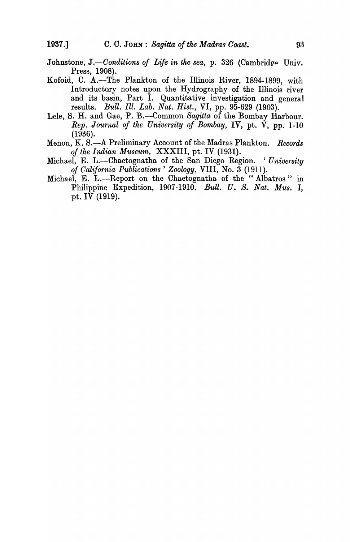- Johnstone, J.—Conditions of Life in the sea, p. 326 (Cambridge Univ. Press, 1908).
- Kofoid, C. A.-The Plankton of the Illinois River, 1894-1899, with Introductory notes upon the Hydrography of the Illinois river and its basin, Part I. Quantitative investigation and general results. *Bull. Ill. Lab. Nat. Hist.,* VI, pp. 95-629 (1903).
- Lele, S. H. and Gae, P. B.-Common *Sagitta* of the Bombay Harbour. *Rep. Journal of the University of Bombay,* IV, pt. V, pp. 1-10 (1936).
- Menon, K. S.-A Preliminary Account of the Madras Plankton. *Records of the Indian Museum,* XXXIII, pt. IV (1931).
- Michael, E. L.-Chaetognatha of the San Diego Region. *'University of Oalifornia Publications' Zoology,* VIII, No.3 (1911).
- Michael, E. L.-Report on the Chaetognatha of the "Albatros" in Philippine Expedition, 1907-1910. Bull. U. S. *Nat. Mus.* I, pt. IV (1919).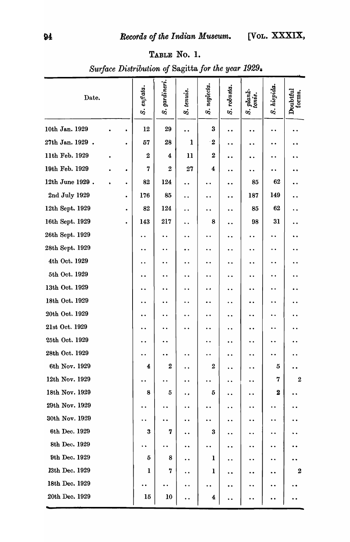### TABLE No.1.

| Date.            |           | S. enflata.          | S. gardineri.        | S. tenuis.           | S. neglecta.            | S. robusta.          | S. plank-<br>tonis.  | S. hispida.                                  | Doubtful<br>forms.   |
|------------------|-----------|----------------------|----------------------|----------------------|-------------------------|----------------------|----------------------|----------------------------------------------|----------------------|
| 10th Jan. 1929   | ٠         | 12                   | 29                   |                      | $\bf{3}$                | $\ddot{\phantom{0}}$ | $\bullet$            | $\bullet\;\bullet$                           |                      |
| 27th Jan. 1929 . | $\bullet$ | 57                   | 28                   | 1                    | $\cdot 2$               | $\ddot{\phantom{0}}$ | $\bullet$            | $\bullet$                                    | $\bullet$            |
| 11th Feb. 1929   |           | 2                    | 4                    | 11                   | $\boldsymbol{2}$        | $\ddot{\phantom{0}}$ | $\bullet\,\bullet$   | $\bullet\; \bullet$                          |                      |
| 19th Feb. 1929   | ۰         | 7                    | $\boldsymbol{2}$     | 27                   | 4                       | $\bullet$            | $\ddot{\phantom{a}}$ | $\bullet\;\bullet$                           |                      |
| 12th June 1929.  | ٠         | 82                   | 124                  | $\ddot{\phantom{0}}$ |                         | $\ddot{\phantom{0}}$ | 85                   | 62                                           |                      |
| 2nd July 1929    | ٠         | 176                  | 85                   | $\ddot{\phantom{a}}$ | $\ddot{\phantom{1}}$    | $\bullet$            | 187                  | 149                                          | $\ddot{\phantom{0}}$ |
| 12th Sept. 1929  | $\bullet$ | 82                   | 124                  | . .                  |                         | ٠.                   | 85                   | 62                                           | . .                  |
| 16th Sept. 1929  | $\bullet$ | 143                  | 217                  | $\ddot{\phantom{1}}$ | 8                       | $\ddot{\phantom{0}}$ | 98                   | 31                                           | $\ddot{\phantom{0}}$ |
| 26th Sept. 1929  |           | $\ddot{\phantom{1}}$ |                      |                      |                         | $\ddot{\phantom{1}}$ | $\bullet$            | $\ddot{\phantom{1}}$                         |                      |
| 28th Sept. 1929  |           | $\ddot{\phantom{a}}$ | $\ddot{\phantom{0}}$ |                      |                         | $\ddot{\phantom{0}}$ | $\ddot{\phantom{a}}$ | $\bullet$                                    | $\cdot$ .            |
| 4th Oct. 1929    |           | $\bullet\bullet$     | $\bullet\;\bullet$   |                      |                         | ٠.                   | $\ddot{\phantom{0}}$ | $\bullet\;\bullet$                           |                      |
| 5th Oct. 1929    |           | $\ddot{\phantom{a}}$ | $\ddot{\phantom{1}}$ |                      | $\ddot{\phantom{1}}$    | . .                  | $\ddot{\phantom{0}}$ | $\bullet\hspace{1mm}\bullet\hspace{1mm}$     |                      |
| 13th Oct. 1929   |           | $\ddot{\phantom{a}}$ | $\bullet\;\bullet$   | $\ddot{\phantom{1}}$ | $\bullet$               | . .                  | $\ddot{\phantom{1}}$ | $\bullet\hspace{0.4mm}\bullet\hspace{0.4mm}$ | $\ddot{\phantom{1}}$ |
| 18th Oct. 1929   |           | $\bullet$            | $\bullet\;\bullet$   |                      |                         | $\ddot{\phantom{1}}$ | $\ddot{\phantom{0}}$ | $\ddot{\phantom{0}}$                         | $\ddot{\phantom{1}}$ |
| 20th Oct. 1929   |           | $\bullet$            | . .                  |                      |                         |                      | $\ddot{\phantom{0}}$ | $\bullet\;\bullet$                           | . .                  |
| 21st Oct. 1929   |           |                      |                      |                      |                         | $\cdot$ .            | $\bullet\;\bullet$   | $\bullet\hspace{0.4mm}\bullet\hspace{0.4mm}$ |                      |
| 25th Oct. 1929   |           |                      |                      |                      |                         | . .                  | . .                  |                                              |                      |
| 28th Oct. 1929   |           | $\bullet$            |                      |                      |                         |                      | ٠.                   | $\bullet$                                    |                      |
| 6th Nov. 1929    |           | 4                    | $\boldsymbol{2}$     | $\ddot{\phantom{0}}$ | $\boldsymbol{2}$        | $\ddot{\phantom{0}}$ | $\ddot{\phantom{1}}$ | $\mathbf{5}$                                 |                      |
| 12th Nov. 1929   |           | $\bullet$            |                      | . .                  | $\cdot$ $\cdot$         | $\ddot{\phantom{0}}$ | $\ddot{\phantom{0}}$ | 7                                            | $\boldsymbol{2}$     |
| 18th Nov. 1929   |           | 8                    | 5                    | ۰.                   | 5                       | $\ddot{\phantom{0}}$ | $\ddot{\phantom{1}}$ | $\boldsymbol{2}$                             |                      |
| 29th Nov. 1929   |           |                      |                      |                      |                         | $\cdot$ .            | $\ddot{\phantom{0}}$ |                                              |                      |
| 30th Nov. 1929   |           | . .                  |                      | $\ddot{\phantom{1}}$ | $\bullet\;\bullet$      | $\ddot{\phantom{0}}$ | $\ddot{\phantom{0}}$ | $\ddot{\phantom{a}}$                         |                      |
| 6th Dec. 1929    |           | $\bf{3}$             | 7                    | $\ddot{\phantom{0}}$ | $\bf{3}$                | $\ddot{\phantom{0}}$ | ٠.                   | $\bullet$                                    |                      |
| 8th Dec. 1929    |           | $\ddot{\phantom{1}}$ | $\ddot{\phantom{0}}$ | $\ddot{\phantom{1}}$ | $\ddot{\phantom{0}}$    | $\ddot{\phantom{0}}$ | $\ddot{\phantom{0}}$ | $\ddot{\phantom{0}}$                         | . .                  |
| 9th Dec. 1929    |           | 5                    | 8                    | $\ddot{\bullet}$     | $\mathbf 1$             | $\ddot{\phantom{1}}$ | $\bullet$            | $\bullet$                                    |                      |
| 13th Dec. 1929   |           | $\mathbf{I}$         | 7                    | $\ddot{\phantom{0}}$ | $\mathbf{1}$            | $\ddot{\phantom{1}}$ | $\bullet$            | $\ddot{\phantom{1}}$                         | $\boldsymbol{2}$     |
| 18th Dec. 1929   |           |                      |                      | $\ddot{\phantom{a}}$ | $\ddot{\phantom{0}}$    | $\ddot{\phantom{0}}$ | $\ddot{\phantom{0}}$ | $\bullet$                                    |                      |
| 20th Dec. 1929   |           | 15                   | 10                   | $\ddot{\phantom{0}}$ | $\overline{\mathbf{4}}$ |                      |                      | . .                                          |                      |

*Su·rface Distribution of* Sagitta *for the year 1929.*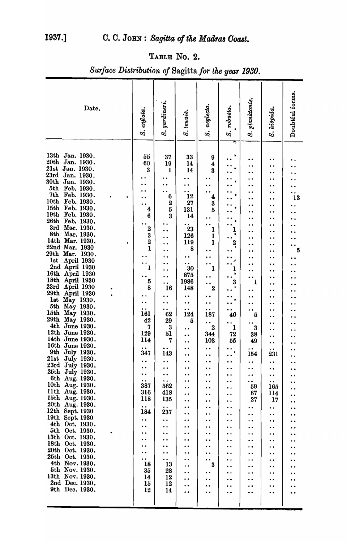# TABLE No. 2.

| Date.                                                                                                                                                                                                                                                                                                                                                                                                                                                                                                                                                                                                                                                                                                                                                                                                                                                                                                                                                                                                                                                                                    | S. enflata.                                                                                                                                                                                                                                                                                                       | S. gardineri.                                                                                                                                                                                                                                                                                                                                                                                                                              | S. tenuis.                                                                                                                                                                                                                                                                                                                                                                                                                                                                                                                                                                                                                                                                        | S. neglecta.                                                                                                                                                                                                                                                                                                                                                                                                                                                                                                                                                                                                                                                                             | S. robusta.                                                                                                                                                                                                                                                                                                                                                                                                                                                                                                                               | S. planktonis.                                                                                                                                                                                                                                                                                                                                                                                                                                                                                                                                                                                                                                                          | S. hispida.                                                                                                                                                                                                                                                                                                                                                                                                                                                                                                       | Doubtful forms.                                                                                                                                                                                                                                                                                                                                                                               |
|------------------------------------------------------------------------------------------------------------------------------------------------------------------------------------------------------------------------------------------------------------------------------------------------------------------------------------------------------------------------------------------------------------------------------------------------------------------------------------------------------------------------------------------------------------------------------------------------------------------------------------------------------------------------------------------------------------------------------------------------------------------------------------------------------------------------------------------------------------------------------------------------------------------------------------------------------------------------------------------------------------------------------------------------------------------------------------------|-------------------------------------------------------------------------------------------------------------------------------------------------------------------------------------------------------------------------------------------------------------------------------------------------------------------|--------------------------------------------------------------------------------------------------------------------------------------------------------------------------------------------------------------------------------------------------------------------------------------------------------------------------------------------------------------------------------------------------------------------------------------------|-----------------------------------------------------------------------------------------------------------------------------------------------------------------------------------------------------------------------------------------------------------------------------------------------------------------------------------------------------------------------------------------------------------------------------------------------------------------------------------------------------------------------------------------------------------------------------------------------------------------------------------------------------------------------------------|------------------------------------------------------------------------------------------------------------------------------------------------------------------------------------------------------------------------------------------------------------------------------------------------------------------------------------------------------------------------------------------------------------------------------------------------------------------------------------------------------------------------------------------------------------------------------------------------------------------------------------------------------------------------------------------|-------------------------------------------------------------------------------------------------------------------------------------------------------------------------------------------------------------------------------------------------------------------------------------------------------------------------------------------------------------------------------------------------------------------------------------------------------------------------------------------------------------------------------------------|-------------------------------------------------------------------------------------------------------------------------------------------------------------------------------------------------------------------------------------------------------------------------------------------------------------------------------------------------------------------------------------------------------------------------------------------------------------------------------------------------------------------------------------------------------------------------------------------------------------------------------------------------------------------------|-------------------------------------------------------------------------------------------------------------------------------------------------------------------------------------------------------------------------------------------------------------------------------------------------------------------------------------------------------------------------------------------------------------------------------------------------------------------------------------------------------------------|-----------------------------------------------------------------------------------------------------------------------------------------------------------------------------------------------------------------------------------------------------------------------------------------------------------------------------------------------------------------------------------------------|
| 13th Jan. 1930.<br>20th<br>Jan. 1930.<br>21st Jan. 1930.<br>23rd<br>Jan. 1930.<br>30th<br>Jan. 1930.<br>5th<br>Feb. 1930.<br>7th<br>Feb. 1930.<br>10th<br>Feb. 1930.<br>15th<br>Feb. 1930.<br>19th<br>Feb. 1930.<br><b>26th</b><br>Feb. 1930.<br>3rd<br>Mar. 1930.<br>8th<br>Mar. 1930.<br>14th Mar. 1930.<br>22nd Mar. 1930<br>29th Mar. 1930.<br>April 1930<br><b>lst</b><br>2nd April 1930<br>16th<br>April 1930<br>18th April 1930<br>23rd April 1930<br>29th<br><b>April 1930</b><br>lst<br>May 1930.<br>5th<br>May 1930.<br>15 <sub>th</sub><br>May 1930.<br>29th<br>May 1930.<br>4th June 1930.<br>12th June 1930.<br>14th June 1930.<br>16th June 1930<br>9th July 1930.<br>21st July 1930.<br>23rd July 1930.<br>25th July 1930.<br>6th Aug. 1930.<br>10th Aug. 1930.<br>11th Aug. 1930.<br>15th Aug. 1930.<br>20th Aug. 1930.<br>12th Sept. 1930<br>19th Sept. 1930<br>4th Oct. 1930.<br>5th Oct. 1930.<br>13th Oct. 1930.<br>18th Oct. 1930.<br>20th Oct. 1930.<br>25th Oct. 1930.<br>4th Nov. 1930.<br>5th Nov. 1930.<br>13th Nov. 1930.<br>2nd Dec. 1930.<br>9th Dec. 1930. | 55<br>60<br>3<br>4<br>6<br>$\boldsymbol{2}$<br>3<br>$\overline{2}$<br>1<br>ı<br>5<br>8<br>. .<br>161<br>42<br>7<br>129<br>114<br>$\bullet$<br>347<br>$\bullet\;\bullet$<br>$\bullet\;\bullet$<br>387<br>316<br>118<br>$\bullet$ $\bullet$<br>184<br>$\bullet\;\bullet$<br>$\bullet$<br>18<br>35<br>14<br>15<br>12 | 37<br>19<br>ı<br>6<br>$\boldsymbol{2}$<br>$\bf{5}$<br>3<br>. .<br>16<br>$\bullet$<br>62<br>29<br>3<br>51<br>7<br>$\ddot{\phantom{1}}$<br>143<br>$\ddot{\phantom{0}}$<br>$\ddot{\phantom{0}}$<br>$\ddot{\phantom{0}}$<br>$\ddot{\phantom{0}}$<br>562<br>418<br>135<br>$\bullet$ $\bullet$<br>237<br>$\ddot{\phantom{0}}$<br>$\ddot{\phantom{0}}$<br>$\ddot{\phantom{a}}$<br>$\ddot{\phantom{0}}$<br>$\bullet$<br>13<br>28<br>12<br>12<br>14 | 33<br>14<br>14<br>$\cdot$<br>12<br>27<br>131<br>14<br>$\ddot{\phantom{1}}$<br>23<br>126<br>119<br>8<br>$\ddot{\phantom{0}}$<br>30<br>875<br>1986<br>148<br>. .<br>$\ddot{\phantom{0}}$<br>$\bullet\hspace{0.4mm} \bullet\hspace{0.4mm}$<br>124<br>5<br>$\ddot{\phantom{0}}$<br>. .<br>$\ddot{\phantom{1}}$<br>$\bullet$<br>$\ddot{\phantom{0}}$<br>$\ddot{\phantom{0}}$<br>. .<br>$\ddot{\phantom{0}}$<br>$\ddot{\phantom{0}}$<br>$\ddot{\phantom{0}}$<br>$\ddot{\phantom{0}}$<br>$\ddot{\phantom{0}}$<br>$\ddot{\phantom{0}}$<br>$\ddot{\phantom{0}}$<br>. .<br>$\ddot{\phantom{0}}$<br>$\ddot{\phantom{0}}$<br>$\ddot{\phantom{0}}$<br>$\bullet$<br>. .<br>$\ddot{\phantom{0}}$ | 9<br>4<br>3<br>4<br>3<br>5<br>1<br>$\mathbf{l}$<br>$\mathbf{I}$<br>$\ddot{\phantom{0}}$<br>1<br>$\overline{2}$<br>$\bullet\;\bullet$<br>187<br>$\bullet\;\bullet$<br>$\boldsymbol{2}$<br>344<br>103<br>$\bullet$<br>$\ddot{\bullet}$<br>$\bullet\bullet$<br>$\ddot{\phantom{0}}$<br>$\ddot{\phantom{0}}$<br>$\ddot{\phantom{0}}$<br>$\ddot{\phantom{a}}$<br>$\ddot{\phantom{0}}$<br>$\ddot{\phantom{0}}$<br>$\ddot{\phantom{0}}$<br>$\ddot{\phantom{0}}$<br>$\ddot{\phantom{0}}$<br>$\ddot{\phantom{a}}$<br>$\ddot{\phantom{a}}$<br>$\ddot{\phantom{0}}$<br>$\bullet\hspace{0.4mm}\bullet\hspace{0.4mm}$<br>3<br>$\bullet\hspace{1mm}\bullet\hspace{1mm}$<br>. .<br>$\ddot{\phantom{0}}$ | 2<br>3<br>$\bullet$<br>40<br>$\mathbf{1}$<br>72<br>55<br>$\bullet$ $\bullet$<br>$\ddot{\phantom{0}}$<br>$\bullet\bullet$<br>$\bullet\bullet$<br>$\ddot{\phantom{0}}$<br>$\ddot{\phantom{a}}$<br>$\ddot{\phantom{0}}$<br>$\ddot{\phantom{a}}$<br>$\ddot{\phantom{0}}$<br>. .<br>$\ddot{\phantom{a}}$<br>$\ddot{\phantom{a}}$<br>$\ddot{\phantom{0}}$<br>$\ddot{\phantom{0}}$<br>$\ddot{\phantom{0}}$<br>$\ddot{\phantom{0}}$<br>. .<br>. .<br>$\ddot{\phantom{0}}$<br>$\ddot{\phantom{0}}$<br>$\ddot{\phantom{0}}$<br>$\ddot{\phantom{0}}$ | $\ddot{\phantom{1}}$<br>. .<br>$\ddot{\phantom{1}}$<br>$\cdot$ $\cdot$<br>$\ddot{\phantom{1}}$<br>. .<br>$\cdot$ .<br>$\ddot{\phantom{0}}$<br>$\bullet\hspace{1mm}\bullet\hspace{1mm}$<br>1<br>$\ddot{\phantom{0}}$<br>5<br>3<br>38<br>49<br>$\bullet\bullet$<br>154<br>$\ddot{\phantom{0}}$<br>$\bullet$<br>$\bullet$<br>$\ddot{\phantom{0}}$<br>59<br>67<br>27<br>$\bullet\bullet$<br>$\ddot{\phantom{a}}$<br>$\ddot{\phantom{0}}$<br>$\bullet$<br>$\ddot{\phantom{0}}$<br>$\ddot{\bullet}$<br>$\bullet$<br>$\ddot{\phantom{0}}$<br>$\ddot{\phantom{a}}$<br>$\ddot{\phantom{a}}$<br>$\ddot{\phantom{0}}$<br>$\ddot{\phantom{0}}$<br>$\ddot{\phantom{0}}$<br>$\bullet$ | $\ddot{\phantom{a}}$<br>$\cdot$ .<br>$\ddot{\phantom{0}}$<br>231<br>$\ddot{\phantom{a}}$<br>$\ddot{\phantom{0}}$<br>$\ddot{\phantom{0}}$<br>$\ddot{\phantom{0}}$<br>165<br><b>114</b><br>17<br>$\ddot{\phantom{0}}$<br>$\bullet\bullet$<br>$\bullet$<br>$\ddot{\phantom{a}}$<br>$\ddot{\phantom{a}}$<br>$\ddot{\phantom{0}}$<br>$\ddot{\phantom{a}}$<br>$\cdot \cdot$<br>$\ddot{\bullet}$<br>$\ddot{\phantom{a}}$<br>$\ddot{\phantom{0}}$<br>$\ddot{\phantom{0}}$<br>$\ddot{\phantom{0}}$<br>$\ddot{\phantom{a}}$ | 13<br>5<br>$\bullet$<br>$\bullet\hspace{1mm}\bullet\hspace{1mm}$<br>$\bullet\bullet$<br>$\bullet$<br>. .<br>$\ddot{\phantom{a}}$<br>. .<br>. .<br>$\ddot{\phantom{0}}$<br>$\ddot{\phantom{0}}$<br>$\ddot{\phantom{0}}$<br>$\ddot{\phantom{0}}$<br>$\ddot{\phantom{0}}$<br>. .<br>$\bullet$<br>$\ddot{\phantom{0}}$<br>. .<br>. .<br>$\bullet$<br>$\ddot{\phantom{0}}$<br>$\ddot{\phantom{0}}$ |
|                                                                                                                                                                                                                                                                                                                                                                                                                                                                                                                                                                                                                                                                                                                                                                                                                                                                                                                                                                                                                                                                                          |                                                                                                                                                                                                                                                                                                                   |                                                                                                                                                                                                                                                                                                                                                                                                                                            |                                                                                                                                                                                                                                                                                                                                                                                                                                                                                                                                                                                                                                                                                   |                                                                                                                                                                                                                                                                                                                                                                                                                                                                                                                                                                                                                                                                                          |                                                                                                                                                                                                                                                                                                                                                                                                                                                                                                                                           |                                                                                                                                                                                                                                                                                                                                                                                                                                                                                                                                                                                                                                                                         |                                                                                                                                                                                                                                                                                                                                                                                                                                                                                                                   |                                                                                                                                                                                                                                                                                                                                                                                               |

*S'ltrface Distribution of* Sagitta *for the year 1930.*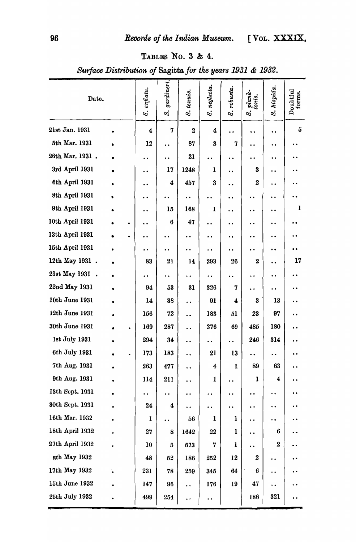# TABLES No. 3 & 4.

*Surface Distribution of* Sagitta *for the years* 1931 & 1932 .

| Date.           |           |   | S. enflata.          | gardineri.<br>ઝં     | S. tenuis.           | S. neglecta.            | S. robusta.             | $_{tonis.}^{\it bank}$<br>S. | S. hispida.          | Doubtful<br>forms.   |
|-----------------|-----------|---|----------------------|----------------------|----------------------|-------------------------|-------------------------|------------------------------|----------------------|----------------------|
| 21st Jan. 1931  |           |   | 4                    | 7                    | $\bf{2}$             | 4                       | $\bullet$               | $\bullet$                    | $\ddot{\phantom{0}}$ | 5                    |
| 5th Mar. 1931   | ٠         |   | 12                   | $\ddot{\phantom{0}}$ | 87                   | 3                       | 7                       | $\ddot{\phantom{0}}$         | $\bullet$            |                      |
| 26th Mar. 1931. |           |   | $\ddot{\phantom{0}}$ | $\ddot{\phantom{a}}$ | 21                   | . .                     | $\ddot{\phantom{a}}$    | $\ddot{\phantom{0}}$         | $\bullet$            |                      |
| 3rd April 1931  |           |   | $\ddot{\phantom{a}}$ | 17                   | 1248                 | ı                       | $\ddot{\phantom{a}}$    | $\bf{3}$                     | $\ddot{\phantom{0}}$ |                      |
| 6th April 1931  |           |   | $\bullet$            | 4                    | 457                  | 3                       | . .                     | $\boldsymbol{2}$             | $\ddot{\phantom{0}}$ |                      |
| 8th April 1931  |           |   | $\ddot{\phantom{0}}$ | . .                  | $\ddot{\phantom{0}}$ |                         | $\ddot{\phantom{0}}$    | $\bullet$                    | $\bullet$            |                      |
| 9th April 1931  |           |   | $\ddot{\phantom{0}}$ | 15                   | 168                  | ı                       | $\ddot{\phantom{0}}$    | $\bullet$                    | $\bullet$            | 1                    |
| 10th April 1931 |           | ٠ | $\ddot{\phantom{0}}$ | $\boldsymbol{6}$     | 47                   |                         | $\ddot{\phantom{0}}$    | $\bullet$                    | $\ddot{\phantom{0}}$ |                      |
| 13th April 1931 |           |   | $\ddot{\phantom{0}}$ |                      | $\ddot{\phantom{0}}$ | . .                     | ٠.                      | $\bullet$ $\bullet$          |                      |                      |
| 15th April 1931 |           |   | $\ddot{\phantom{0}}$ | . .                  | $\ddot{\phantom{0}}$ |                         | $\ddot{\phantom{0}}$    | $\ddot{\phantom{0}}$         | $\bullet$            |                      |
| 12th May 1931.  |           |   | 83                   | 21                   | 14                   | 293                     | 26                      | $\bf{2}$                     | $\ddot{\phantom{0}}$ | 17                   |
| 21st May 1931 . |           |   | $\ddot{\phantom{0}}$ |                      |                      | $\bullet$               | $\bullet$               | $\ddot{\phantom{0}}$         | $\bullet\bullet$     |                      |
| 22nd May 1931   |           |   | 94                   | 53                   | 31                   | 326                     | 7                       | $\ddot{\phantom{0}}$         | $\bullet$            |                      |
| 10th June 1931  |           |   | 14                   | 38                   | $\ddot{\phantom{0}}$ | 91                      | $\overline{\mathbf{4}}$ | 3                            | 13                   |                      |
| 12th June 1931  |           |   | 156                  | 72                   | $\ddot{\phantom{0}}$ | 183                     | 51                      | 23                           | 97                   |                      |
| 30th June 1931  |           |   | 169                  | 287                  | $\ddot{\phantom{0}}$ | 376                     | 69                      | 485                          | 180                  |                      |
| 1st July 1931   |           |   | 294                  | 34                   | $\ddot{\phantom{0}}$ | $\ddot{\phantom{0}}$    | $\ddot{\phantom{0}}$    | 246                          | 314                  |                      |
| 6th July 1931   |           |   | 173                  | 183                  | . .                  | 21                      | 13                      |                              | $\ddot{\phantom{1}}$ | $\bullet$            |
| 7th Aug. 1931   |           |   | 263                  | 477                  | $\ddot{\phantom{0}}$ | $\overline{\mathbf{4}}$ | $\mathbf{I}$            | 89                           | 63                   |                      |
| 9th Aug. 1931   |           |   | 114                  | 211                  | $\ddot{\phantom{0}}$ | $\mathbf{1}$            | $\ddot{\phantom{0}}$    | 1                            | $\boldsymbol{4}$     | $\ddot{\phantom{0}}$ |
| 13th Sept. 1931 | $\bullet$ |   | $\ddot{\phantom{a}}$ | $\ddot{\phantom{0}}$ | $\ddot{\phantom{a}}$ | ٠.                      | $\bullet$               | $\ddot{\phantom{0}}$         | $\ddot{\phantom{0}}$ |                      |
| 30th Sept. 1931 |           |   | 24                   | 4                    | $\ddot{\phantom{0}}$ | $\ddot{\phantom{0}}$    | $\bullet$               | $\ddot{\phantom{0}}$         | $\bullet$            |                      |
| 16th Mar. 1932  |           |   | 1                    |                      | 56                   | $\mathbf{I}$            | $\mathbf{1}$            | $\ddot{\phantom{0}}$         | $\ddot{\phantom{0}}$ | $\ddot{\phantom{0}}$ |
| 18th April 1932 |           |   | 27                   | 8                    | 1642                 | 22                      | 1                       | $\ddot{\phantom{0}}$         | 6                    | $\ddot{\phantom{0}}$ |
| 27th April 1932 |           |   | 10                   | $\bf 5$              | 573                  | $\overline{7}$          | $\mathbf{l}$            | $\ddot{\phantom{0}}$         | $\boldsymbol{2}$     |                      |
| sth May 1932    |           |   | 48                   | 52                   | 186                  | 252                     | 12                      | $\boldsymbol{2}$             | $\ddot{\phantom{a}}$ | . .                  |
| 17th May 1932   |           |   | 231                  | 78                   | 259                  | 345                     | 64                      | 6                            | $\bullet$            |                      |
| 15th June 1932  |           |   | 147                  | 96                   | $\ddot{\phantom{0}}$ | 176                     | 19                      | 47                           | . .                  |                      |
| 25th July 1932  |           |   | 499                  | 254                  | $\ddot{\phantom{0}}$ | $\ddot{\phantom{0}}$    |                         | 186                          | 321                  |                      |